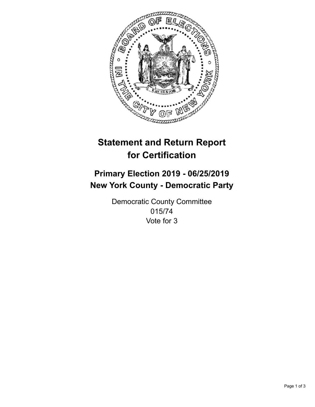

## **Statement and Return Report for Certification**

## **Primary Election 2019 - 06/25/2019 New York County - Democratic Party**

Democratic County Committee 015/74 Vote for 3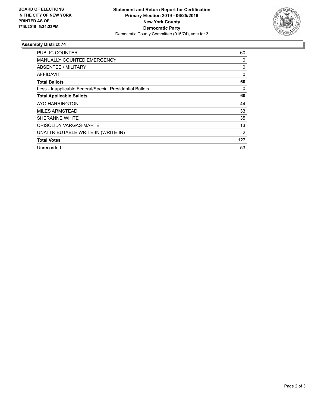

## **Assembly District 74**

| PUBLIC COUNTER                                           | 60             |
|----------------------------------------------------------|----------------|
| <b>MANUALLY COUNTED EMERGENCY</b>                        | 0              |
| ABSENTEE / MILITARY                                      | 0              |
| AFFIDAVIT                                                | 0              |
| <b>Total Ballots</b>                                     | 60             |
| Less - Inapplicable Federal/Special Presidential Ballots | 0              |
| <b>Total Applicable Ballots</b>                          | 60             |
| AYO HARRINGTON                                           | 44             |
| <b>MILES ARMSTEAD</b>                                    | 33             |
| SHERANNE WHITE                                           | 35             |
| <b>CRISOLIDY VARGAS-MARTE</b>                            | 13             |
| UNATTRIBUTABLE WRITE-IN (WRITE-IN)                       | $\overline{2}$ |
| <b>Total Votes</b>                                       | 127            |
| Unrecorded                                               | 53             |